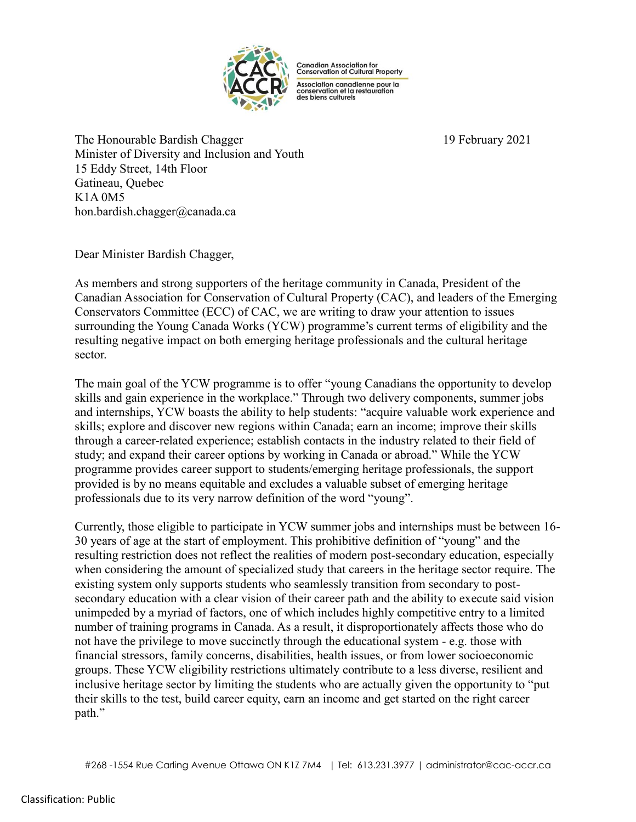

**Canadian Association for<br>Conservation of Cultural Property** 

Association canadienne pour la<br>conservation et la restauration<br>des biens culturels

The Honourable Bardish Chagger 19 February 2021 Minister of Diversity and Inclusion and Youth 15 Eddy Street, 14th Floor Gatineau, Quebec K1A 0M5 hon.bardish.chagger@canada.ca

Dear Minister Bardish Chagger,

As members and strong supporters of the heritage community in Canada, President of the Canadian Association for Conservation of Cultural Property (CAC), and leaders of the Emerging Conservators Committee (ECC) of CAC, we are writing to draw your attention to issues surrounding the Young Canada Works (YCW) programme's current terms of eligibility and the resulting negative impact on both emerging heritage professionals and the cultural heritage sector.

The main goal of the YCW programme is to offer "young Canadians the opportunity to develop skills and gain experience in the workplace." Through two delivery components, summer jobs and internships, YCW boasts the ability to help students: "acquire valuable work experience and skills; explore and discover new regions within Canada; earn an income; improve their skills through a career-related experience; establish contacts in the industry related to their field of study; and expand their career options by working in Canada or abroad." While the YCW programme provides career support to students/emerging heritage professionals, the support provided is by no means equitable and excludes a valuable subset of emerging heritage professionals due to its very narrow definition of the word "young".

Currently, those eligible to participate in YCW summer jobs and internships must be between 16- 30 years of age at the start of employment. This prohibitive definition of "young" and the resulting restriction does not reflect the realities of modern post-secondary education, especially when considering the amount of specialized study that careers in the heritage sector require. The existing system only supports students who seamlessly transition from secondary to postsecondary education with a clear vision of their career path and the ability to execute said vision unimpeded by a myriad of factors, one of which includes highly competitive entry to a limited number of training programs in Canada. As a result, it disproportionately affects those who do not have the privilege to move succinctly through the educational system - e.g. those with financial stressors, family concerns, disabilities, health issues, or from lower socioeconomic groups. These YCW eligibility restrictions ultimately contribute to a less diverse, resilient and inclusive heritage sector by limiting the students who are actually given the opportunity to "put their skills to the test, build career equity, earn an income and get started on the right career path."